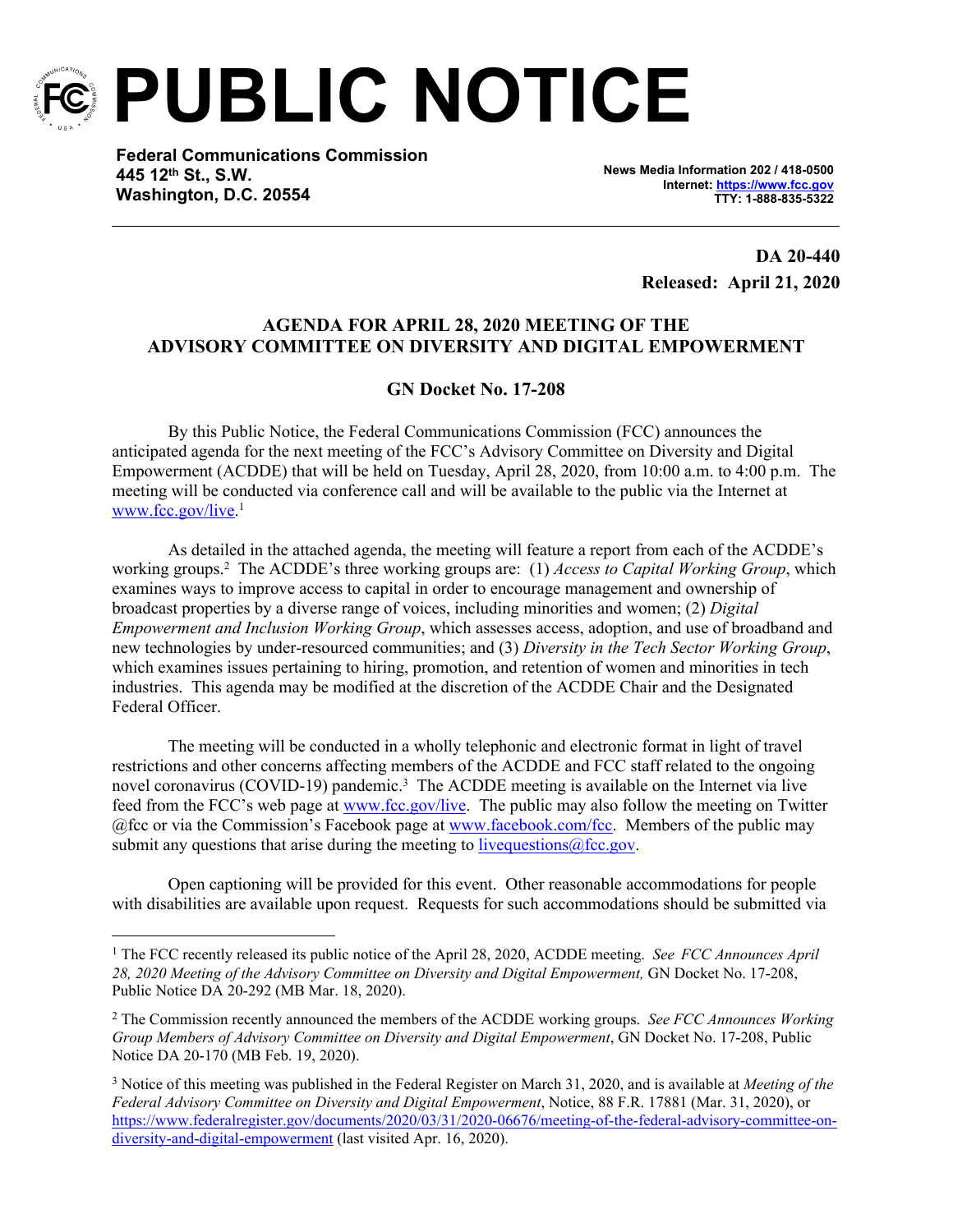

**PUBLIC NOTICE**

**Federal Communications Commission 445 12th St., S.W. Washington, D.C. 20554**

**News Media Information 202 / 418-0500 Internet:<https://www.fcc.gov> TTY: 1-888-835-5322**

> **DA 20-440 Released: April 21, 2020**

### **AGENDA FOR APRIL 28, 2020 MEETING OF THE ADVISORY COMMITTEE ON DIVERSITY AND DIGITAL EMPOWERMENT**

### **GN Docket No. 17-208**

By this Public Notice, the Federal Communications Commission (FCC) announces the anticipated agenda for the next meeting of the FCC's Advisory Committee on Diversity and Digital Empowerment (ACDDE) that will be held on Tuesday, April 28, 2020, from 10:00 a.m. to 4:00 p.m. The meeting will be conducted via conference call and will be available to the public via the Internet at [www.fcc.gov/live.](http://www.fcc.gov/live) 1

As detailed in the attached agenda, the meeting will feature a report from each of the ACDDE's working groups.<sup>2</sup> The ACDDE's three working groups are: (1) *Access to Capital Working Group*, which examines ways to improve access to capital in order to encourage management and ownership of broadcast properties by a diverse range of voices, including minorities and women; (2) *Digital Empowerment and Inclusion Working Group*, which assesses access, adoption, and use of broadband and new technologies by under-resourced communities; and (3) *Diversity in the Tech Sector Working Group*, which examines issues pertaining to hiring, promotion, and retention of women and minorities in tech industries. This agenda may be modified at the discretion of the ACDDE Chair and the Designated Federal Officer.

The meeting will be conducted in a wholly telephonic and electronic format in light of travel restrictions and other concerns affecting members of the ACDDE and FCC staff related to the ongoing novel coronavirus (COVID-19) pandemic.<sup>3</sup> The ACDDE meeting is available on the Internet via live feed from the FCC's web page at [www.fcc.gov/live.](http://www.fcc.gov/live) The public may also follow the meeting on Twitter @fcc or via the Commission's Facebook page at [www.facebook.com/fcc.](http://www.facebook.com/fcc) Members of the public may submit any questions that arise during the meeting to live questions  $@$  fcc.gov.

Open captioning will be provided for this event. Other reasonable accommodations for people with disabilities are available upon request. Requests for such accommodations should be submitted via

<sup>&</sup>lt;sup>1</sup> The FCC recently released its public notice of the April 28, 2020, ACDDE meeting. *See FCC Announces April 28, 2020 Meeting of the Advisory Committee on Diversity and Digital Empowerment,* GN Docket No. 17-208, Public Notice DA 20-292 (MB Mar. 18, 2020).

<sup>2</sup> The Commission recently announced the members of the ACDDE working groups. *See FCC Announces Working Group Members of Advisory Committee on Diversity and Digital Empowerment*, GN Docket No. 17-208, Public Notice DA 20-170 (MB Feb. 19, 2020).

<sup>3</sup> Notice of this meeting was published in the Federal Register on March 31, 2020, and is available at *Meeting of the Federal Advisory Committee on Diversity and Digital Empowerment*, Notice, 88 F.R. 17881 (Mar. 31, 2020), or [https://www.federalregister.gov/documents/2020/03/31/2020-06676/meeting-of-the-federal-advisory-committee-on](https://www.federalregister.gov/documents/2020/03/31/2020-06676/meeting-of-the-federal-advisory-committee-on-diversity-and-digital-empowerment)[diversity-and-digital-empowerment](https://www.federalregister.gov/documents/2020/03/31/2020-06676/meeting-of-the-federal-advisory-committee-on-diversity-and-digital-empowerment) (last visited Apr. 16, 2020).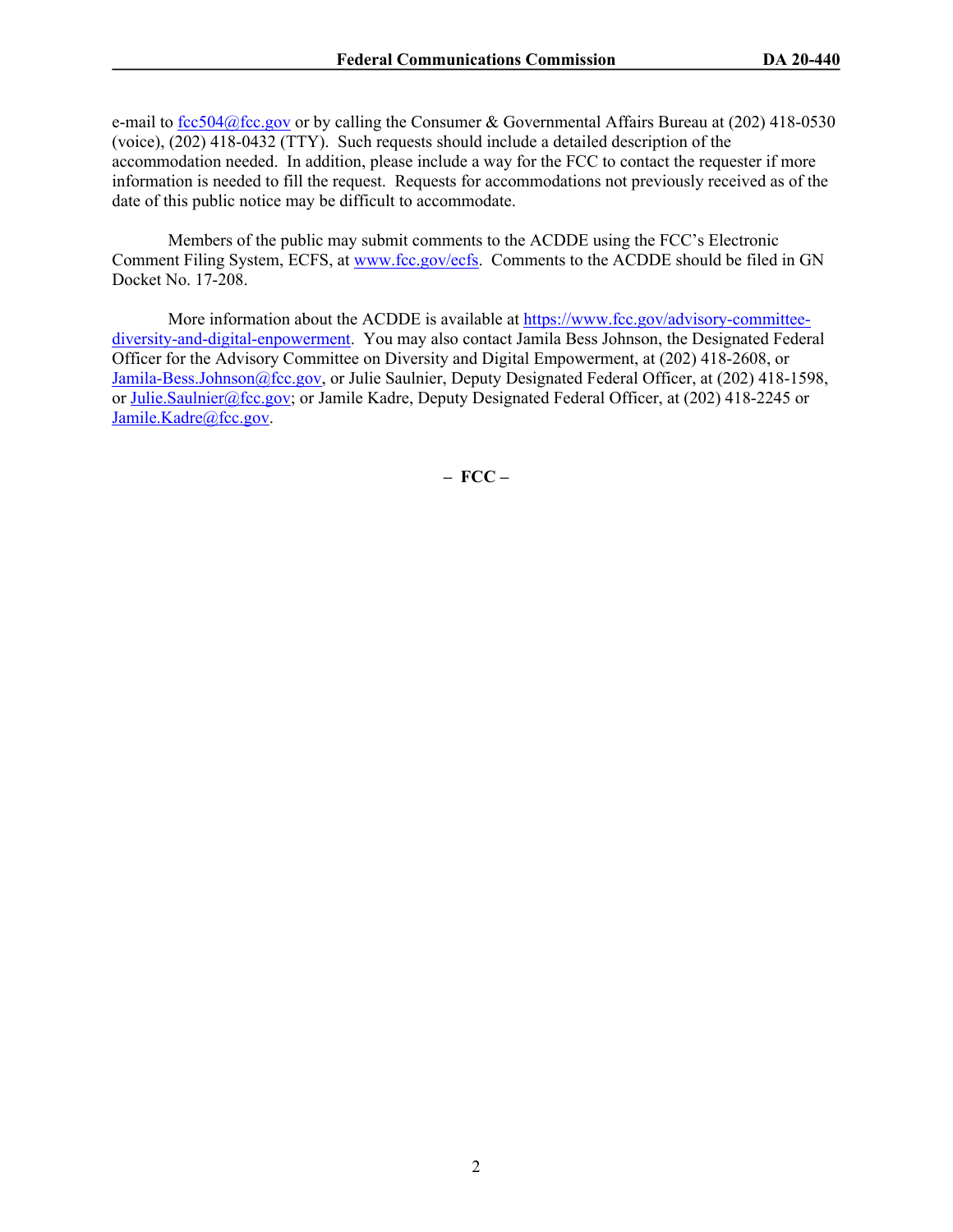e-mail to [fcc504@fcc.gov](mailto:fcc504@fcc.gov) or by calling the Consumer & Governmental Affairs Bureau at (202) 418-0530 (voice), (202) 418-0432 (TTY). Such requests should include a detailed description of the accommodation needed. In addition, please include a way for the FCC to contact the requester if more information is needed to fill the request. Requests for accommodations not previously received as of the date of this public notice may be difficult to accommodate.

Members of the public may submit comments to the ACDDE using the FCC's Electronic Comment Filing System, ECFS, at [www.fcc.gov/ecfs.](http://www.fcc.gov/ecfs) Comments to the ACDDE should be filed in GN Docket No. 17-208.

More information about the ACDDE is available at [https://www.fcc.gov/advisory-committee](https://www.fcc.gov/advisory-committee-diversity-and-digital-enpowerment)[diversity-and-digital-enpowerment](https://www.fcc.gov/advisory-committee-diversity-and-digital-enpowerment). You may also contact Jamila Bess Johnson, the Designated Federal Officer for the Advisory Committee on Diversity and Digital Empowerment, at (202) 418-2608, or [Jamila-Bess.Johnson@fcc.gov,](mailto:Jamila-Bess.Johnson@fcc.gov) or Julie Saulnier, Deputy Designated Federal Officer, at (202) 418-1598, or [Julie.Saulnier@fcc.gov;](mailto:Julie.Saulnier@fcc.gov) or Jamile Kadre, Deputy Designated Federal Officer, at (202) 418-2245 or [Jamile.Kadre@fcc.gov](mailto:Jamile.Kadre@fcc.gov).

**– FCC –**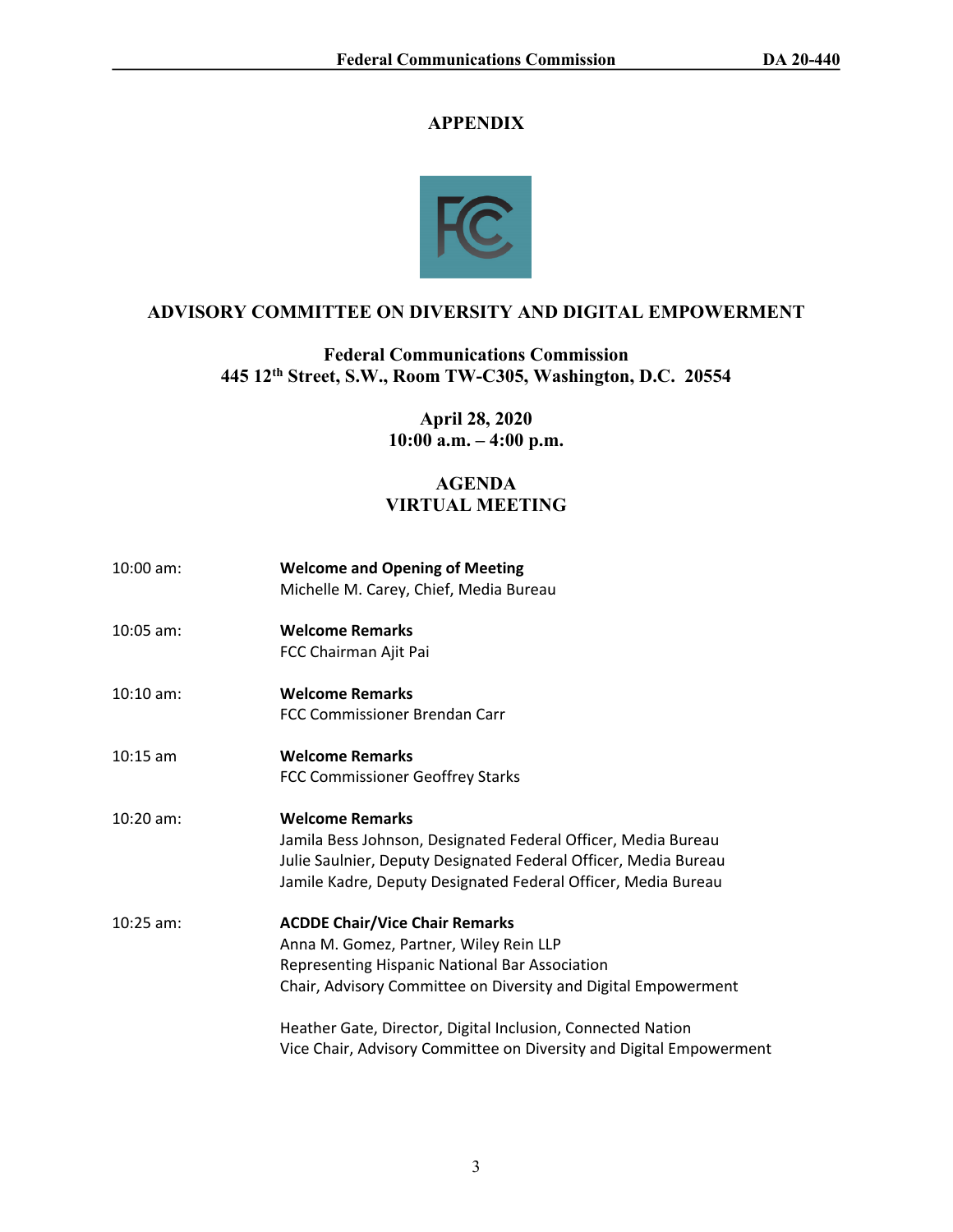# **APPENDIX**



# **ADVISORY COMMITTEE ON DIVERSITY AND DIGITAL EMPOWERMENT**

**Federal Communications Commission 445 12th Street, S.W., Room TW-C305, Washington, D.C. 20554**

> **April 28, 2020 10:00 a.m. – 4:00 p.m.**

# **AGENDA VIRTUAL MEETING**

| $10:00$ am: | <b>Welcome and Opening of Meeting</b><br>Michelle M. Carey, Chief, Media Bureau                                                                                                                                             |
|-------------|-----------------------------------------------------------------------------------------------------------------------------------------------------------------------------------------------------------------------------|
| $10:05$ am: | <b>Welcome Remarks</b><br>FCC Chairman Ajit Pai                                                                                                                                                                             |
| $10:10$ am: | <b>Welcome Remarks</b><br>FCC Commissioner Brendan Carr                                                                                                                                                                     |
| $10:15$ am  | <b>Welcome Remarks</b><br><b>FCC Commissioner Geoffrey Starks</b>                                                                                                                                                           |
| $10:20$ am: | <b>Welcome Remarks</b><br>Jamila Bess Johnson, Designated Federal Officer, Media Bureau<br>Julie Saulnier, Deputy Designated Federal Officer, Media Bureau<br>Jamile Kadre, Deputy Designated Federal Officer, Media Bureau |
| $10:25$ am: | <b>ACDDE Chair/Vice Chair Remarks</b><br>Anna M. Gomez, Partner, Wiley Rein LLP<br>Representing Hispanic National Bar Association<br>Chair, Advisory Committee on Diversity and Digital Empowerment                         |
|             | Heather Gate, Director, Digital Inclusion, Connected Nation<br>Vice Chair, Advisory Committee on Diversity and Digital Empowerment                                                                                          |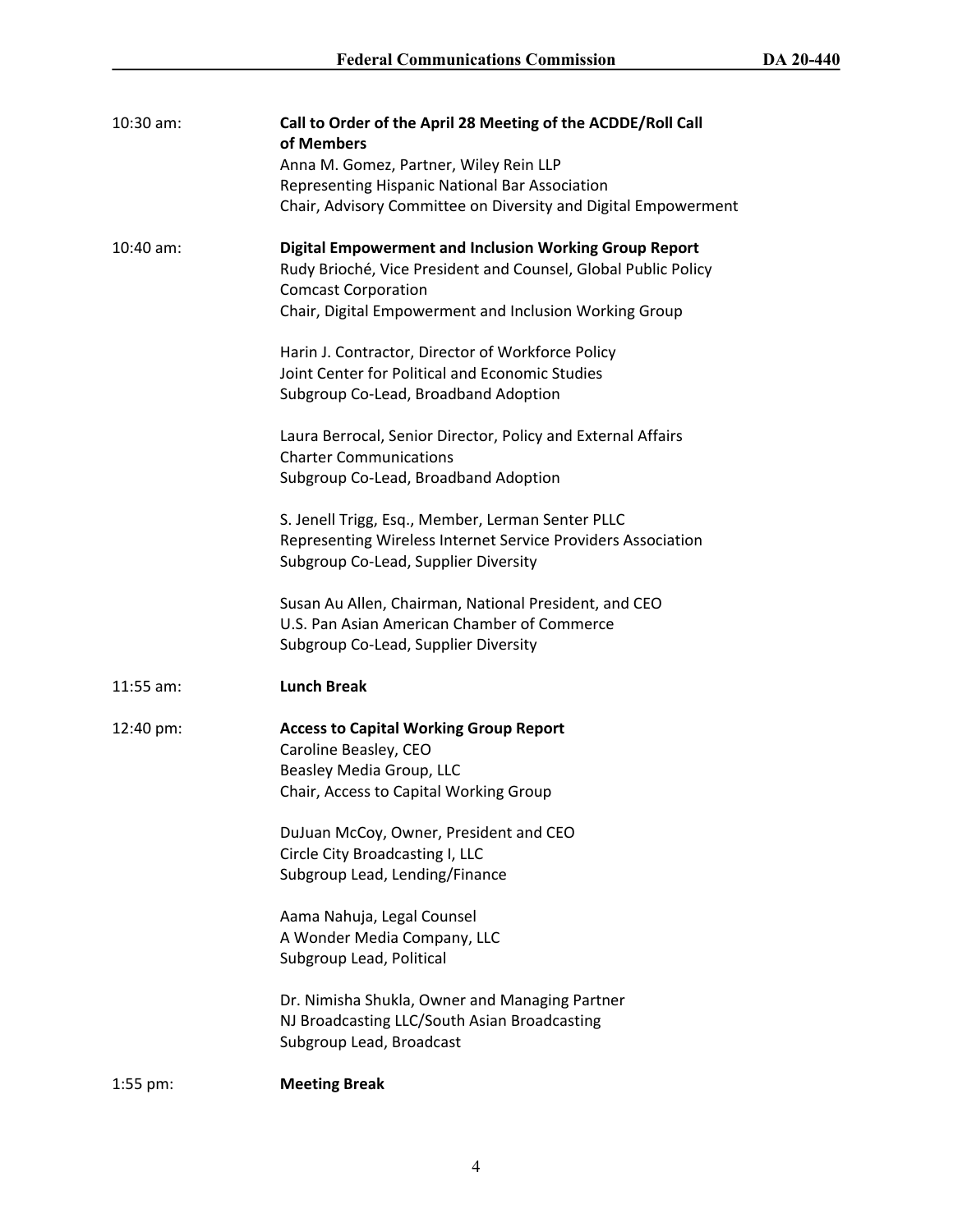| $10:30$ am: | Call to Order of the April 28 Meeting of the ACDDE/Roll Call<br>of Members<br>Anna M. Gomez, Partner, Wiley Rein LLP<br>Representing Hispanic National Bar Association<br>Chair, Advisory Committee on Diversity and Digital Empowerment                                                                                                                                                                                                                                           |
|-------------|------------------------------------------------------------------------------------------------------------------------------------------------------------------------------------------------------------------------------------------------------------------------------------------------------------------------------------------------------------------------------------------------------------------------------------------------------------------------------------|
| 10:40 am:   | <b>Digital Empowerment and Inclusion Working Group Report</b><br>Rudy Brioché, Vice President and Counsel, Global Public Policy<br><b>Comcast Corporation</b><br>Chair, Digital Empowerment and Inclusion Working Group                                                                                                                                                                                                                                                            |
|             | Harin J. Contractor, Director of Workforce Policy<br>Joint Center for Political and Economic Studies<br>Subgroup Co-Lead, Broadband Adoption                                                                                                                                                                                                                                                                                                                                       |
|             | Laura Berrocal, Senior Director, Policy and External Affairs<br><b>Charter Communications</b><br>Subgroup Co-Lead, Broadband Adoption                                                                                                                                                                                                                                                                                                                                              |
|             | S. Jenell Trigg, Esq., Member, Lerman Senter PLLC<br>Representing Wireless Internet Service Providers Association<br>Subgroup Co-Lead, Supplier Diversity                                                                                                                                                                                                                                                                                                                          |
|             | Susan Au Allen, Chairman, National President, and CEO<br>U.S. Pan Asian American Chamber of Commerce<br>Subgroup Co-Lead, Supplier Diversity                                                                                                                                                                                                                                                                                                                                       |
| $11:55$ am: | <b>Lunch Break</b>                                                                                                                                                                                                                                                                                                                                                                                                                                                                 |
| 12:40 pm:   | <b>Access to Capital Working Group Report</b><br>Caroline Beasley, CEO<br>Beasley Media Group, LLC<br>Chair, Access to Capital Working Group<br>DuJuan McCoy, Owner, President and CEO<br>Circle City Broadcasting I, LLC<br>Subgroup Lead, Lending/Finance<br>Aama Nahuja, Legal Counsel<br>A Wonder Media Company, LLC<br>Subgroup Lead, Political<br>Dr. Nimisha Shukla, Owner and Managing Partner<br>NJ Broadcasting LLC/South Asian Broadcasting<br>Subgroup Lead, Broadcast |
| $1:55$ pm:  | <b>Meeting Break</b>                                                                                                                                                                                                                                                                                                                                                                                                                                                               |